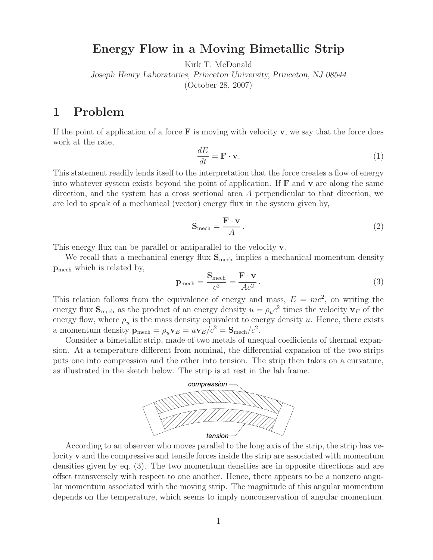#### **Energy Flow in a Moving Bimetallic Strip**

Kirk T. McDonald

*Joseph Henry Laboratories, Princeton University, Princeton, NJ 08544* (October 28, 2007)

### **1 Problem**

If the point of application of a force  $\bf{F}$  is moving with velocity **v**, we say that the force does work at the rate,

$$
\frac{dE}{dt} = \mathbf{F} \cdot \mathbf{v}.\tag{1}
$$

This statement readily lends itself to the interpretation that the force creates a flow of energy into whatever system exists beyond the point of application. If **F** and **v** are along the same direction, and the system has a cross sectional area A perpendicular to that direction, we are led to speak of a mechanical (vector) energy flux in the system given by,

$$
\mathbf{S}_{\text{mech}} = \frac{\mathbf{F} \cdot \mathbf{v}}{A} \,. \tag{2}
$$

This energy flux can be parallel or antiparallel to the velocity **v**.

We recall that a mechanical energy flux  $S_{\text{mech}}$  implies a mechanical momentum density **p**mech which is related by,

$$
\mathbf{p}_{\text{mech}} = \frac{\mathbf{S}_{\text{mech}}}{c^2} = \frac{\mathbf{F} \cdot \mathbf{v}}{Ac^2} \,. \tag{3}
$$

This relation follows from the equivalence of energy and mass,  $E = mc^2$ , on writing the energy flux  $S_{\text{mech}}$  as the product of an energy density  $u = \rho_u c^2$  times the velocity  $v_E$  of the energy flow, where  $\rho_u$  is the mass density equivalent to energy density u. Hence, there exists a momentum density  $\mathbf{p}_{\text{mech}} = \rho_u \mathbf{v}_E = u \mathbf{v}_E/c^2 = \mathbf{S}_{\text{mech}}/c^2$ .

Consider a bimetallic strip, made of two metals of unequal coefficients of thermal expansion. At a temperature different from nominal, the differential expansion of the two strips puts one into compression and the other into tension. The strip then takes on a curvature, as illustrated in the sketch below. The strip is at rest in the lab frame.



According to an observer who moves parallel to the long axis of the strip, the strip has velocity **v** and the compressive and tensile forces inside the strip are associated with momentum densities given by eq. (3). The two momentum densities are in opposite directions and are offset transversely with respect to one another. Hence, there appears to be a nonzero angular momentum associated with the moving strip. The magnitude of this angular momentum depends on the temperature, which seems to imply nonconservation of angular momentum.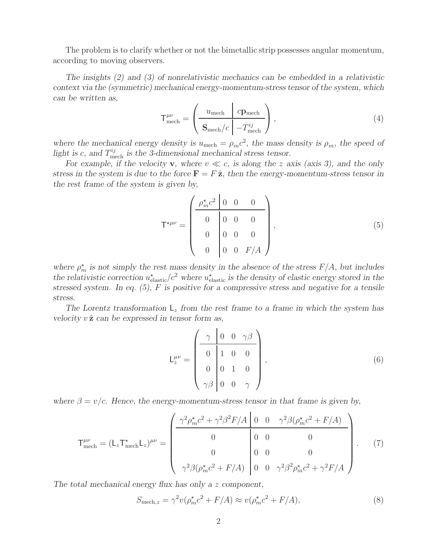The problem is to clarify whether or not the bimetallic strip possesses angular momentum, according to moving observers.

*The insights (2) and (3) of nonrelativistic mechanics can be embedded in a relativistic context via the (symmetric) mechanical energy-momentum-stress tensor of the system, which can be written as,*  $\mathbf{r}$ 

$$
\mathsf{T}^{\mu\nu}_{\text{mech}} = \left(\frac{u_{\text{mech}} \mid c\mathbf{p}_{\text{mech}}}{\mathbf{S}_{\text{mech}}/c \mid -T^{\textit{ij}}_{\text{mech}}}\right),\tag{4}
$$

*where the mechanical energy density is*  $u_{\text{mech}} = \rho_m c^2$ , the mass density is  $\rho_m$ , the speed of light is c, and  $T_{\text{mech}}^{ij}$  is the 3-dimensional mechanical stress tensor.

For example, if the velocity **v**, where  $v \ll c$ , is along the z axis (axis 3), and the only *stress in the system is due to the force*  $\mathbf{F} = F \hat{\mathbf{z}}$ *, then the energy-momentum-stress tensor in the rest frame of the system is given by,*

$$
\mathsf{T}^{\star\mu\nu} = \begin{pmatrix} \frac{\rho_m^{\star} c^2 & 0 & 0 & 0 \\ 0 & 0 & 0 & 0 \\ 0 & 0 & 0 & 0 \\ 0 & 0 & 0 & F/A \end{pmatrix}, \tag{5}
$$

where  $\rho_m^*$  *is not simply the rest mass density in the absence of the stress*  $F/A$ *, but includes* the relativistic correction  $u_{\text{elastic}}^{\star}/c^2$  where  $u_{\text{elastic}}^{\star}$  is the density of elastic energy stored in the *stressed system. In eq. (5),* F *is positive for a compressive stress and negative for a tensile stress.*

*The Lorentz transformation* L<sup>z</sup> *from the rest frame to a frame in which the system has velocity*  $v \hat{z}$  *can be expressed in tensor form as,* 

$$
L_z^{\mu\nu} = \begin{pmatrix} \gamma & 0 & 0 & \gamma\beta \\ 0 & 1 & 0 & 0 \\ 0 & 0 & 1 & 0 \\ \gamma\beta & 0 & 0 & \gamma \end{pmatrix},
$$
(6)

*where*  $\beta = v/c$ *. Hence, the energy-momentum-stress tensor in that frame is given by,* 

$$
\mathsf{T}^{\mu\nu}_{\text{mech}} = (\mathsf{L}_z \mathsf{T}^*_{\text{mech}} \mathsf{L}_z)^{\mu\nu} = \begin{pmatrix} \frac{\gamma^2 \rho_m^* c^2 + \gamma^2 \beta^2 F/A & 0 & 0 & \gamma^2 \beta (\rho_m^* c^2 + F/A)}{0 & 0 & 0} \\ 0 & 0 & 0 & 0 \\ 0 & 0 & 0 & 0 \\ \gamma^2 \beta (\rho_m^* c^2 + F/A) & 0 & 0 & \gamma^2 \beta^2 \rho_m^* c^2 + \gamma^2 F/A \end{pmatrix} . \tag{7}
$$

*The total mechanical energy flux has only a* z *component,*

$$
S_{\text{mech},z} = \gamma^2 v(\rho_m^* c^2 + F/A) \approx v(\rho_m^* c^2 + F/A),\tag{8}
$$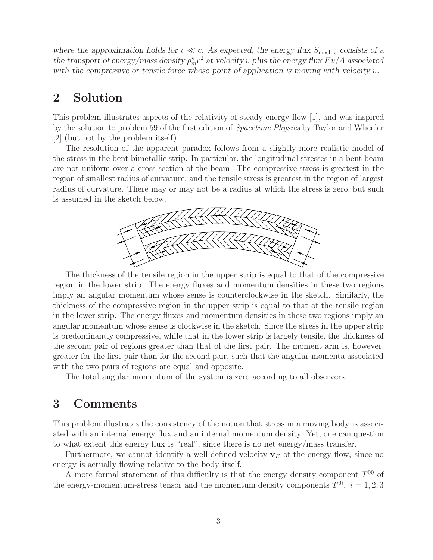where the approximation holds for  $v \ll c$ . As expected, the energy flux  $S_{\text{mech},z}$  consists of a *the transport of energy/mass density*  $\rho_m^* c^2$  *at velocity v plus the energy flux*  $Fv/A$  *associated* with the compressive or tensile force whose point of application is moving with velocity v.

## **2 Solution**

This problem illustrates aspects of the relativity of steady energy flow [1], and was inspired by the solution to problem 59 of the first edition of *Spacetime Physics* by Taylor and Wheeler [2] (but not by the problem itself).

The resolution of the apparent paradox follows from a slightly more realistic model of the stress in the bent bimetallic strip. In particular, the longitudinal stresses in a bent beam are not uniform over a cross section of the beam. The compressive stress is greatest in the region of smallest radius of curvature, and the tensile stress is greatest in the region of largest radius of curvature. There may or may not be a radius at which the stress is zero, but such is assumed in the sketch below.



The thickness of the tensile region in the upper strip is equal to that of the compressive region in the lower strip. The energy fluxes and momentum densities in these two regions imply an angular momentum whose sense is counterclockwise in the sketch. Similarly, the thickness of the compressive region in the upper strip is equal to that of the tensile region in the lower strip. The energy fluxes and momentum densities in these two regions imply an angular momentum whose sense is clockwise in the sketch. Since the stress in the upper strip is predominantly compressive, while that in the lower strip is largely tensile, the thickness of the second pair of regions greater than that of the first pair. The moment arm is, however, greater for the first pair than for the second pair, such that the angular momenta associated with the two pairs of regions are equal and opposite.

The total angular momentum of the system is zero according to all observers.

#### **3 Comments**

This problem illustrates the consistency of the notion that stress in a moving body is associated with an internal energy flux and an internal momentum density. Yet, one can question to what extent this energy flux is "real", since there is no net energy/mass transfer.

Furthermore, we cannot identify a well-defined velocity  $\mathbf{v}_E$  of the energy flow, since no energy is actually flowing relative to the body itself.

A more formal statement of this difficulty is that the energy density component  $T^{00}$  of the energy-momentum-stress tensor and the momentum density components  $T^{0i}$ ,  $i = 1, 2, 3$